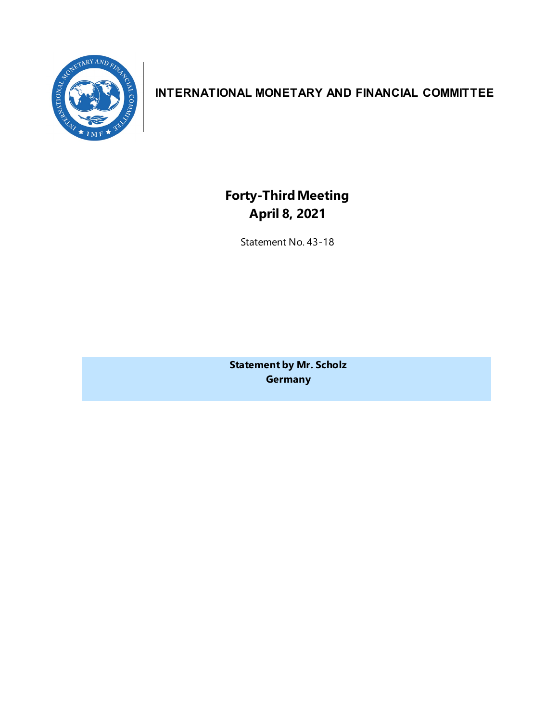

# **INTERNATIONAL MONETARY AND FINANCIAL COMMITTEE**

**Forty-ThirdMeeting April 8, 2021**

Statement No. 43-18

**Statement by Mr. Scholz Germany**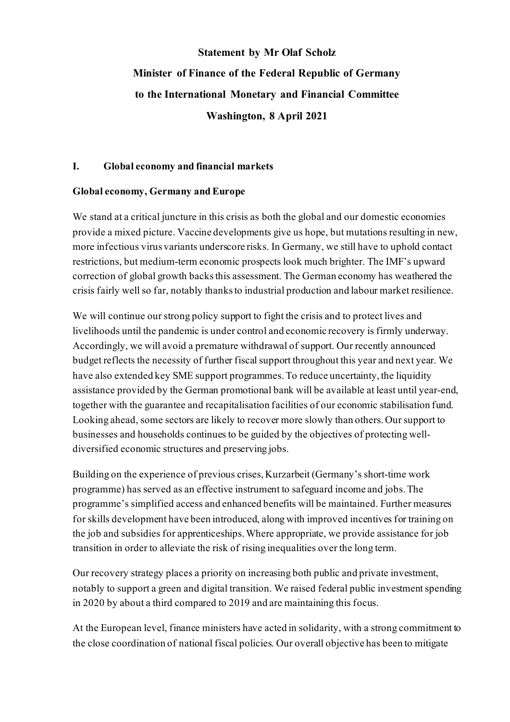# **Statement by Mr Olaf Scholz Minister of Finance of the Federal Republic of Germany to the International Monetary and Financial Committee Washington, 8 April 2021**

## **I. Global economy and financial markets**

## **Global economy, Germany and Europe**

We stand at a critical juncture in this crisis as both the global and our domestic economies provide a mixed picture. Vaccine developments give us hope, but mutations resulting in new, more infectious virus variants underscore risks. In Germany, we still have to uphold contact restrictions, but medium-term economic prospects look much brighter. The IMF's upward correction of global growth backs this assessment. The German economy has weathered the crisis fairly well so far, notably thanks to industrial production and labour market resilience.

We will continue our strong policy support to fight the crisis and to protect lives and livelihoods until the pandemic is under control and economic recovery is firmly underway. Accordingly, we will avoid a premature withdrawal of support. Our recently announced budget reflects the necessity of further fiscal support throughout this year and next year. We have also extended key SME support programmes. To reduce uncertainty, the liquidity assistance provided by the German promotional bank will be available at least until year-end, together with the guarantee and recapitalisation facilities of our economic stabilisation fund. Looking ahead, some sectors are likely to recover more slowly than others. Our support to businesses and households continues to be guided by the objectives of protecting welldiversified economic structures and preserving jobs.

Building on the experience of previous crises, Kurzarbeit (Germany's short-time work programme) has served as an effective instrument to safeguard income and jobs. The programme's simplified access and enhanced benefits will be maintained. Further measures for skills development have been introduced, along with improved incentives for training on the job and subsidies for apprenticeships. Where appropriate, we provide assistance for job transition in order to alleviate the risk of rising inequalities over the long term.

Our recovery strategy places a priority on increasing both public and private investment, notably to support a green and digital transition. We raised federal public investment spending in 2020 by about a third compared to 2019 and are maintaining this focus.

At the European level, finance ministers have acted in solidarity, with a strong commitment to the close coordination of national fiscal policies. Our overall objective has been to mitigate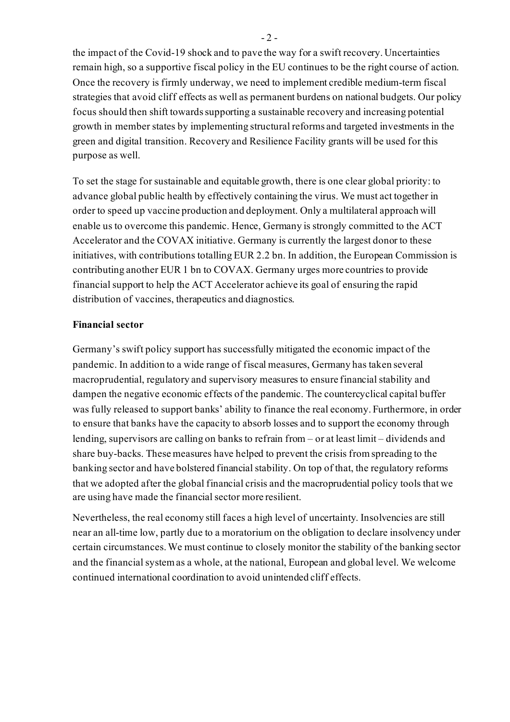the impact of the Covid-19 shock and to pave the way for a swift recovery. Uncertainties remain high, so a supportive fiscal policy in the EU continues to be the right course of action. Once the recovery is firmly underway, we need to implement credible medium-term fiscal strategies that avoid cliff effects as well as permanent burdens on national budgets. Our policy focus should then shift towards supporting a sustainable recovery and increasing potential growth in member states by implementing structural reforms and targeted investments in the green and digital transition. Recovery and Resilience Facility grants will be used for this purpose as well.

To set the stage for sustainable and equitable growth, there is one clear global priority: to advance global public health by effectively containing the virus. We must act together in order to speed up vaccine production and deployment. Only a multilateral approach will enable us to overcome this pandemic. Hence, Germany is strongly committed to the ACT Accelerator and the COVAX initiative. Germany is currently the largest donor to these initiatives, with contributions totalling EUR 2.2 bn. In addition, the European Commission is contributing another EUR 1 bn to COVAX. Germany urges more countries to provide financial support to help the ACT Accelerator achieve its goal of ensuring the rapid distribution of vaccines, therapeutics and diagnostics.

#### **Financial sector**

Germany's swift policy support has successfully mitigated the economic impact of the pandemic. In addition to a wide range of fiscal measures, Germany has taken several macroprudential, regulatory and supervisory measures to ensure financial stability and dampen the negative economic effects of the pandemic. The countercyclical capital buffer was fully released to support banks' ability to finance the real economy. Furthermore, in order to ensure that banks have the capacity to absorb losses and to support the economy through lending, supervisors are calling on banks to refrain from – or at least limit – dividends and share buy-backs. These measures have helped to prevent the crisis from spreading to the banking sector and have bolstered financial stability. On top of that, the regulatory reforms that we adopted after the global financial crisis and the macroprudential policy tools that we are using have made the financial sector more resilient.

Nevertheless, the real economy still faces a high level of uncertainty. Insolvencies are still near an all-time low, partly due to a moratorium on the obligation to declare insolvency under certain circumstances. We must continue to closely monitor the stability of the banking sector and the financial system as a whole, at the national, European and global level. We welcome continued international coordination to avoid unintended cliff effects.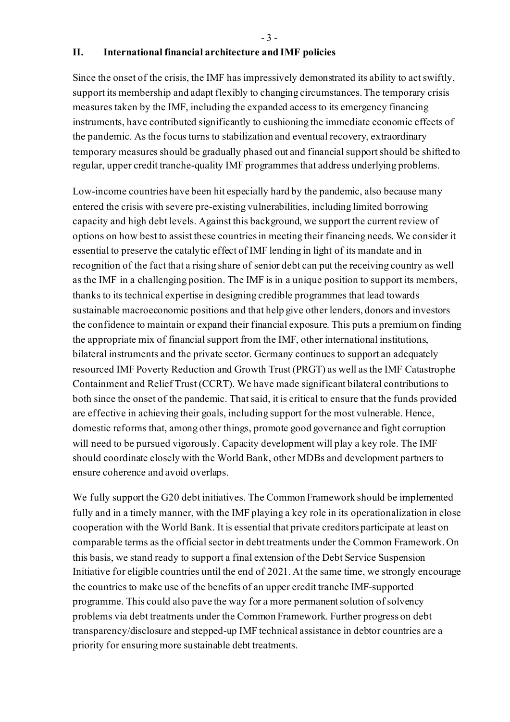- 3 -

#### **II. International financial architecture and IMF policies**

Since the onset of the crisis, the IMF has impressively demonstrated its ability to act swiftly, support its membership and adapt flexibly to changing circumstances. The temporary crisis measures taken by the IMF, including the expanded access to its emergency financing instruments, have contributed significantly to cushioning the immediate economic effects of the pandemic. As the focus turns to stabilization and eventual recovery, extraordinary temporary measures should be gradually phased out and financial support should be shifted to regular, upper credit tranche-quality IMF programmes that address underlying problems.

Low-income countries have been hit especially hard by the pandemic, also because many entered the crisis with severe pre-existing vulnerabilities, including limited borrowing capacity and high debt levels. Against this background, we support the current review of options on how best to assist these countries in meeting their financing needs. We consider it essential to preserve the catalytic effect of IMF lending in light of its mandate and in recognition of the fact that a rising share of senior debt can put the receiving country as well as the IMF in a challenging position. The IMF is in a unique position to support its members, thanks to its technical expertise in designing credible programmes that lead towards sustainable macroeconomic positions and that help give other lenders, donors and investors the confidence to maintain or expand their financial exposure. This puts a premium on finding the appropriate mix of financial support from the IMF, other international institutions, bilateral instruments and the private sector. Germany continues to support an adequately resourced IMF Poverty Reduction and Growth Trust (PRGT) as well as the IMF Catastrophe Containment and Relief Trust (CCRT). We have made significant bilateral contributions to both since the onset of the pandemic. That said, it is critical to ensure that the funds provided are effective in achieving their goals, including support for the most vulnerable. Hence, domestic reforms that, among other things, promote good governance and fight corruption will need to be pursued vigorously. Capacity development will play a key role. The IMF should coordinate closely with the World Bank, other MDBs and development partners to ensure coherence and avoid overlaps.

We fully support the G20 debt initiatives. The Common Framework should be implemented fully and in a timely manner, with the IMF playing a key role in its operationalization in close cooperation with the World Bank. It is essential that private creditors participate at least on comparable terms as the official sector in debt treatments under the Common Framework. On this basis, we stand ready to support a final extension of the Debt Service Suspension Initiative for eligible countries until the end of 2021. At the same time, we strongly encourage the countries to make use of the benefits of an upper credit tranche IMF-supported programme. This could also pave the way for a more permanent solution of solvency problems via debt treatments under the Common Framework. Further progress on debt transparency/disclosure and stepped-up IMF technical assistance in debtor countries are a priority for ensuring more sustainable debt treatments.